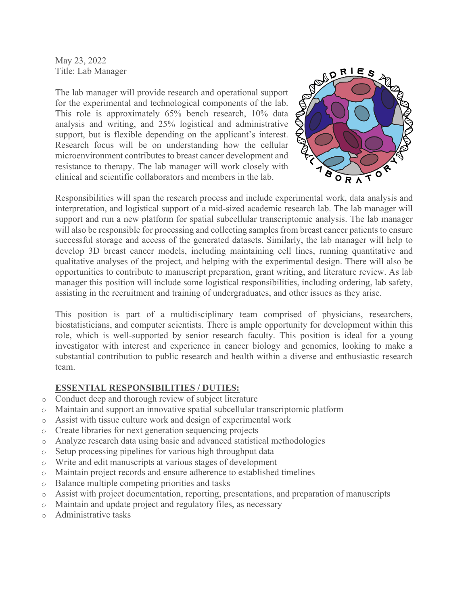May 23, 2022 Title: Lab Manager

The lab manager will provide research and operational support for the experimental and technological components of the lab. This role is approximately 65% bench research, 10% data analysis and writing, and 25% logistical and administrative support, but is flexible depending on the applicant's interest. Research focus will be on understanding how the cellular microenvironment contributes to breast cancer development and resistance to therapy. The lab manager will work closely with clinical and scientific collaborators and members in the lab.



Responsibilities will span the research process and include experimental work, data analysis and interpretation, and logistical support of a mid-sized academic research lab. The lab manager will support and run a new platform for spatial subcellular transcriptomic analysis. The lab manager will also be responsible for processing and collecting samples from breast cancer patients to ensure successful storage and access of the generated datasets. Similarly, the lab manager will help to develop 3D breast cancer models, including maintaining cell lines, running quantitative and qualitative analyses of the project, and helping with the experimental design. There will also be opportunities to contribute to manuscript preparation, grant writing, and literature review. As lab manager this position will include some logistical responsibilities, including ordering, lab safety, assisting in the recruitment and training of undergraduates, and other issues as they arise.

This position is part of a multidisciplinary team comprised of physicians, researchers, biostatisticians, and computer scientists. There is ample opportunity for development within this role, which is well-supported by senior research faculty. This position is ideal for a young investigator with interest and experience in cancer biology and genomics, looking to make a substantial contribution to public research and health within a diverse and enthusiastic research team.

### **ESSENTIAL RESPONSIBILITIES / DUTIES:**

- o Conduct deep and thorough review of subject literature
- o Maintain and support an innovative spatial subcellular transcriptomic platform
- o Assist with tissue culture work and design of experimental work
- o Create libraries for next generation sequencing projects
- o Analyze research data using basic and advanced statistical methodologies
- o Setup processing pipelines for various high throughput data
- o Write and edit manuscripts at various stages of development
- o Maintain project records and ensure adherence to established timelines
- o Balance multiple competing priorities and tasks
- $\circ$  Assist with project documentation, reporting, presentations, and preparation of manuscripts
- o Maintain and update project and regulatory files, as necessary
- o Administrative tasks